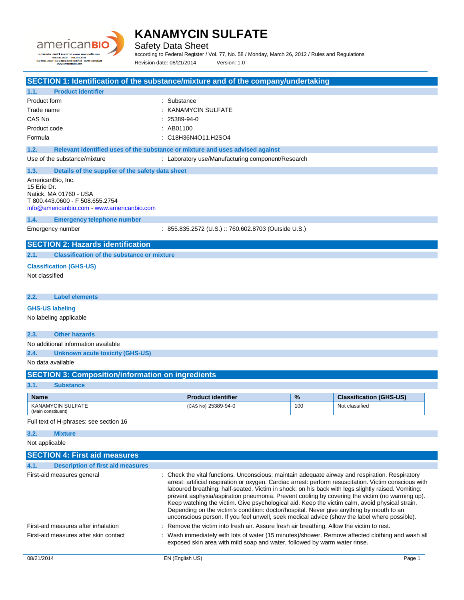

Safety Data Sheet

according to Federal Register / Vol. 77, No. 58 / Monday, March 26, 2012 / Rules and Regulations Revision date: 08/21/2014 Version: 1.0

**SECTION 1: Identification of the substance/mixture and of the company/undertaking 1.1. Product identifier** Product form : Substance : Substance Trade name : KANAMYCIN SULFATE CAS No : 25389-94-0 Product code : AB01100 Formula : C18H36N4O11.H2SO4 **1.2. Relevant identified uses of the substance or mixture and uses advised against** Use of the substance/mixture : Laboratory use/Manufacturing component/Research **1.3. Details of the supplier of the safety data sheet** AmericanBio, Inc. 15 Erie Dr. Natick, MA 01760 - USA T 800.443.0600 - F 508.655.2754 [info@americanbio.com](mailto:info@americanbio.com) - <www.americanbio.com> **1.4. Emergency telephone number** Emergency number : 855.835.2572 (U.S.) :: 760.602.8703 (Outside U.S.) **SECTION 2: Hazards identification 2.1. Classification of the substance or mixture Classification (GHS-US)** Not classified **2.2. Label elements GHS-US labeling** No labeling applicable **2.3. Other hazards** No additional information available **2.4. Unknown acute toxicity (GHS-US)** No data available **SECTION 3: Composition/information on ingredients 3.1. Substance Name Product identifier 1989 12 Classification (GHS-US) Product identifier 1989 12 Classification (GHS-US)** KANAMYCIN SULFATE (Main constituent) (CAS No) 25389-94-0 100 Not classified Full text of H-phrases: see section 16 **3.2. Mixture** Not applicable **SECTION 4: First aid measures 4.1. Description of first aid measures** First-aid measures general **interpretatal constructs**: Check the vital functions. Unconscious: maintain adequate airway and respiration. Respiratory arrest: artificial respiration or oxygen. Cardiac arrest: perform resuscitation. Victim conscious with laboured breathing: half-seated. Victim in shock: on his back with legs slightly raised. Vomiting: prevent asphyxia/aspiration pneumonia. Prevent cooling by covering the victim (no warming up).

Keep watching the victim. Give psychological aid. Keep the victim calm, avoid physical strain. Depending on the victim's condition: doctor/hospital. Never give anything by mouth to an unconscious person. If you feel unwell, seek medical advice (show the label where possible). First-aid measures after inhalation : Remove the victim into fresh air. Assure fresh air breathing. Allow the victim to rest.

First-aid measures after skin contact : Wash immediately with lots of water (15 minutes)/shower. Remove affected clothing and wash all exposed skin area with mild soap and water, followed by warm water rinse.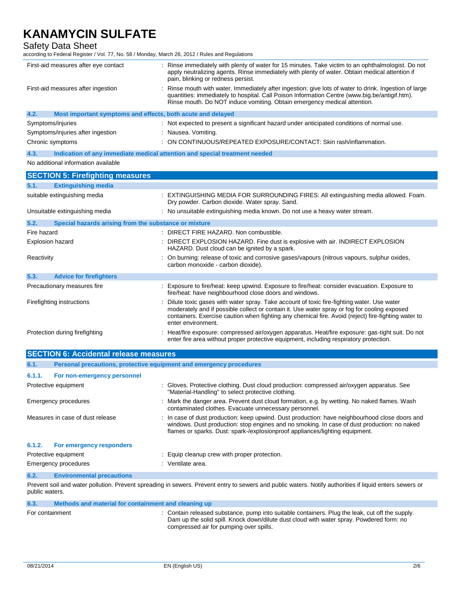Safety Data Sheet

according to Federal Register / Vol. 77, No. 58 / Monday, March 26, 2012 / Rules and Regulations

| First-aid measures after eye contact                                | Rinse immediately with plenty of water for 15 minutes. Take victim to an ophthalmologist. Do not<br>apply neutralizing agents. Rinse immediately with plenty of water. Obtain medical attention if<br>pain, blinking or redness persist.                                                                               |  |
|---------------------------------------------------------------------|------------------------------------------------------------------------------------------------------------------------------------------------------------------------------------------------------------------------------------------------------------------------------------------------------------------------|--|
| First-aid measures after ingestion                                  | Rinse mouth with water. Immediately after ingestion: give lots of water to drink. Ingestion of large<br>quantities: immediately to hospital. Call Poison Information Centre (www.big.be/antigif.htm).<br>Rinse mouth. Do NOT induce vomiting. Obtain emergency medical attention.                                      |  |
| Most important symptoms and effects, both acute and delayed<br>4.2. |                                                                                                                                                                                                                                                                                                                        |  |
| Symptoms/injuries                                                   | : Not expected to present a significant hazard under anticipated conditions of normal use.                                                                                                                                                                                                                             |  |
| Symptoms/injuries after ingestion                                   | : Nausea. Vomiting.                                                                                                                                                                                                                                                                                                    |  |
| Chronic symptoms                                                    | : ON CONTINUOUS/REPEATED EXPOSURE/CONTACT: Skin rash/inflammation.                                                                                                                                                                                                                                                     |  |
| 4.3.                                                                | Indication of any immediate medical attention and special treatment needed                                                                                                                                                                                                                                             |  |
| No additional information available                                 |                                                                                                                                                                                                                                                                                                                        |  |
| <b>SECTION 5: Firefighting measures</b>                             |                                                                                                                                                                                                                                                                                                                        |  |
| <b>Extinguishing media</b><br>5.1.                                  |                                                                                                                                                                                                                                                                                                                        |  |
| suitable extinguishing media                                        | : EXTINGUISHING MEDIA FOR SURROUNDING FIRES: All extinguishing media allowed. Foam.<br>Dry powder. Carbon dioxide. Water spray. Sand.                                                                                                                                                                                  |  |
| Unsuitable extinguishing media                                      | : No unsuitable extinguishing media known. Do not use a heavy water stream.                                                                                                                                                                                                                                            |  |
| Special hazards arising from the substance or mixture<br>5.2.       |                                                                                                                                                                                                                                                                                                                        |  |
| Fire hazard                                                         | : DIRECT FIRE HAZARD. Non combustible.                                                                                                                                                                                                                                                                                 |  |
|                                                                     |                                                                                                                                                                                                                                                                                                                        |  |
| Explosion hazard                                                    | DIRECT EXPLOSION HAZARD. Fine dust is explosive with air. INDIRECT EXPLOSION<br>HAZARD. Dust cloud can be ignited by a spark.                                                                                                                                                                                          |  |
| Reactivity                                                          | On burning: release of toxic and corrosive gases/vapours (nitrous vapours, sulphur oxides,<br>carbon monoxide - carbon dioxide).                                                                                                                                                                                       |  |
| 5.3.<br><b>Advice for firefighters</b>                              |                                                                                                                                                                                                                                                                                                                        |  |
| Precautionary measures fire                                         | : Exposure to fire/heat: keep upwind. Exposure to fire/heat: consider evacuation. Exposure to<br>fire/heat: have neighbourhood close doors and windows.                                                                                                                                                                |  |
| Firefighting instructions                                           | Dilute toxic gases with water spray. Take account of toxic fire-fighting water. Use water<br>moderately and if possible collect or contain it. Use water spray or fog for cooling exposed<br>containers. Exercise caution when fighting any chemical fire. Avoid (reject) fire-fighting water to<br>enter environment. |  |
| Protection during firefighting                                      | : Heat/fire exposure: compressed air/oxygen apparatus. Heat/fire exposure: gas-tight suit. Do not<br>enter fire area without proper protective equipment, including respiratory protection.                                                                                                                            |  |
| <b>SECTION 6: Accidental release measures</b>                       |                                                                                                                                                                                                                                                                                                                        |  |

| 6.1.1.        | For non-emergency personnel       |                                                                                                                                                                                                                                                                               |
|---------------|-----------------------------------|-------------------------------------------------------------------------------------------------------------------------------------------------------------------------------------------------------------------------------------------------------------------------------|
|               | Protective equipment              | : Gloves. Protective clothing. Dust cloud production: compressed air/oxygen apparatus. See<br>"Material-Handling" to select protective clothing.                                                                                                                              |
|               | <b>Emergency procedures</b>       | : Mark the danger area. Prevent dust cloud formation, e.g. by wetting. No naked flames. Wash<br>contaminated clothes. Evacuate unnecessary personnel.                                                                                                                         |
|               | Measures in case of dust release  | : In case of dust production: keep upwind. Dust production: have neighbourhood close doors and<br>windows. Dust production: stop engines and no smoking. In case of dust production: no naked<br>flames or sparks. Dust: spark-/explosionproof appliances/lighting equipment. |
| 6.1.2.        | For emergency responders          |                                                                                                                                                                                                                                                                               |
|               | Protective equipment              | : Equip cleanup crew with proper protection.                                                                                                                                                                                                                                  |
|               | <b>Emergency procedures</b>       | : Ventilate area.                                                                                                                                                                                                                                                             |
| $\sim$ $\sim$ | Factor and control in control and |                                                                                                                                                                                                                                                                               |

**6.2. Environmental precautions**

Prevent soil and water pollution. Prevent spreading in sewers. Prevent entry to sewers and public waters. Notify authorities if liquid enters sewers or public waters.

| 6.3.            | Methods and material for containment and cleaning up |                                                                                                                                                                                                                                        |
|-----------------|------------------------------------------------------|----------------------------------------------------------------------------------------------------------------------------------------------------------------------------------------------------------------------------------------|
| For containment |                                                      | : Contain released substance, pump into suitable containers. Plug the leak, cut off the supply.<br>Dam up the solid spill. Knock down/dilute dust cloud with water spray. Powdered form: no<br>compressed air for pumping over spills. |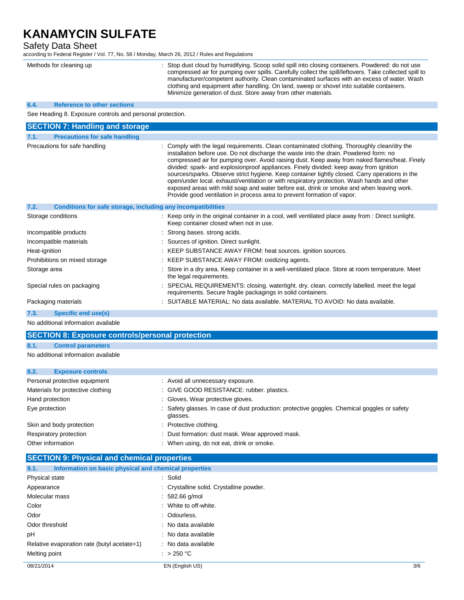## Safety Data Sheet

according to Federal Register / Vol. 77, No. 58 / Monday, March 26, 2012 / Rules and Regulations

| Methods for cleaning up                                              | Stop dust cloud by humidifying. Scoop solid spill into closing containers. Powdered: do not use<br>compressed air for pumping over spills. Carefully collect the spill/leftovers. Take collected spill to<br>manufacturer/competent authority. Clean contaminated surfaces with an excess of water. Wash<br>clothing and equipment after handling. On land, sweep or shovel into suitable containers.<br>Minimize generation of dust. Store away from other materials.                                                                                                                                                                                                                                                                               |  |  |
|----------------------------------------------------------------------|------------------------------------------------------------------------------------------------------------------------------------------------------------------------------------------------------------------------------------------------------------------------------------------------------------------------------------------------------------------------------------------------------------------------------------------------------------------------------------------------------------------------------------------------------------------------------------------------------------------------------------------------------------------------------------------------------------------------------------------------------|--|--|
| <b>Reference to other sections</b><br>6.4.                           |                                                                                                                                                                                                                                                                                                                                                                                                                                                                                                                                                                                                                                                                                                                                                      |  |  |
| See Heading 8. Exposure controls and personal protection.            |                                                                                                                                                                                                                                                                                                                                                                                                                                                                                                                                                                                                                                                                                                                                                      |  |  |
| <b>SECTION 7: Handling and storage</b>                               |                                                                                                                                                                                                                                                                                                                                                                                                                                                                                                                                                                                                                                                                                                                                                      |  |  |
| <b>Precautions for safe handling</b><br>7.1.                         |                                                                                                                                                                                                                                                                                                                                                                                                                                                                                                                                                                                                                                                                                                                                                      |  |  |
| Precautions for safe handling                                        | Comply with the legal requirements. Clean contaminated clothing. Thoroughly clean/dry the<br>installation before use. Do not discharge the waste into the drain. Powdered form: no<br>compressed air for pumping over. Avoid raising dust. Keep away from naked flames/heat. Finely<br>divided: spark- and explosionproof appliances. Finely divided: keep away from ignition<br>sources/sparks. Observe strict hygiene. Keep container tightly closed. Carry operations in the<br>open/under local. exhaust/ventilation or with respiratory protection. Wash hands and other<br>exposed areas with mild soap and water before eat, drink or smoke and when leaving work.<br>Provide good ventilation in process area to prevent formation of vapor. |  |  |
| Conditions for safe storage, including any incompatibilities<br>7.2. |                                                                                                                                                                                                                                                                                                                                                                                                                                                                                                                                                                                                                                                                                                                                                      |  |  |
| Storage conditions                                                   | : Keep only in the original container in a cool, well ventilated place away from : Direct sunlight.<br>Keep container closed when not in use.                                                                                                                                                                                                                                                                                                                                                                                                                                                                                                                                                                                                        |  |  |
| Incompatible products                                                | : Strong bases, strong acids.                                                                                                                                                                                                                                                                                                                                                                                                                                                                                                                                                                                                                                                                                                                        |  |  |
| Incompatible materials                                               | : Sources of ignition. Direct sunlight.                                                                                                                                                                                                                                                                                                                                                                                                                                                                                                                                                                                                                                                                                                              |  |  |
| Heat-ignition                                                        | : KEEP SUBSTANCE AWAY FROM: heat sources. ignition sources.                                                                                                                                                                                                                                                                                                                                                                                                                                                                                                                                                                                                                                                                                          |  |  |
| Prohibitions on mixed storage                                        | : KEEP SUBSTANCE AWAY FROM: oxidizing agents.                                                                                                                                                                                                                                                                                                                                                                                                                                                                                                                                                                                                                                                                                                        |  |  |
| Storage area                                                         | : Store in a dry area. Keep container in a well-ventilated place. Store at room temperature. Meet<br>the legal requirements.                                                                                                                                                                                                                                                                                                                                                                                                                                                                                                                                                                                                                         |  |  |
| Special rules on packaging                                           | SPECIAL REQUIREMENTS: closing. watertight. dry. clean. correctly labelled. meet the legal<br>requirements. Secure fragile packagings in solid containers.                                                                                                                                                                                                                                                                                                                                                                                                                                                                                                                                                                                            |  |  |
| Packaging materials                                                  | SUITABLE MATERIAL: No data available. MATERIAL TO AVOID: No data available.                                                                                                                                                                                                                                                                                                                                                                                                                                                                                                                                                                                                                                                                          |  |  |
| <b>Specific end use(s)</b><br>7.3.                                   |                                                                                                                                                                                                                                                                                                                                                                                                                                                                                                                                                                                                                                                                                                                                                      |  |  |
| No additional information available                                  |                                                                                                                                                                                                                                                                                                                                                                                                                                                                                                                                                                                                                                                                                                                                                      |  |  |

### **SECTION 8: Exposure controls/personal protection**

**8.1. Control parameters**

No additional information available

| 8.2.           | <b>Exposure controls</b>          |                                                                                                          |
|----------------|-----------------------------------|----------------------------------------------------------------------------------------------------------|
|                | Personal protective equipment     | : Avoid all unnecessary exposure.                                                                        |
|                | Materials for protective clothing | : GIVE GOOD RESISTANCE: rubber. plastics.                                                                |
|                | Hand protection                   | : Gloves. Wear protective gloves.                                                                        |
| Eye protection |                                   | : Safety glasses. In case of dust production: protective goggles. Chemical goggles or safety<br>glasses. |
|                | Skin and body protection          | : Protective clothing.                                                                                   |
|                | Respiratory protection            | : Dust formation: dust mask. Wear approved mask.                                                         |
|                | Other information                 | : When using, do not eat, drink or smoke.                                                                |

## **SECTION 9: Physical and chemical properties**

| Information on basic physical and chemical properties<br>9.1. |                                          |     |
|---------------------------------------------------------------|------------------------------------------|-----|
| Physical state                                                | : Solid                                  |     |
| Appearance                                                    | : Crystalline solid. Crystalline powder. |     |
| Molecular mass                                                | $: 582.66$ g/mol                         |     |
| Color                                                         | : White to off-white.                    |     |
| Odor                                                          | : Odourless.                             |     |
| Odor threshold                                                | : No data available                      |     |
| pH                                                            | : No data available                      |     |
| Relative evaporation rate (butyl acetate=1)                   | : No data available                      |     |
| Melting point                                                 | : $>250 °C$                              |     |
| 08/21/2014                                                    | EN (English US)                          | 3/6 |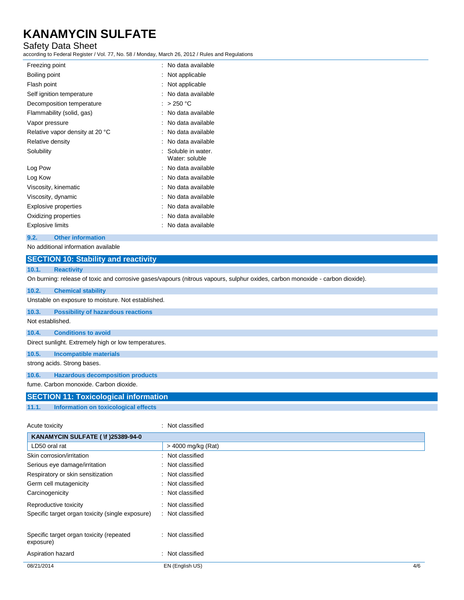## Safety Data Sheet

according to Federal Register / Vol. 77, No. 58 / Monday, March 26, 2012 / Rules and Regulations

| Freezing point                  | No data available                   |
|---------------------------------|-------------------------------------|
| Boiling point                   | Not applicable                      |
| Flash point                     | Not applicable                      |
| Self ignition temperature       | No data available                   |
| Decomposition temperature       | $>250$ °C                           |
| Flammability (solid, gas)       | No data available                   |
| Vapor pressure                  | No data available                   |
| Relative vapor density at 20 °C | No data available                   |
| Relative density                | No data available                   |
| Solubility                      | Soluble in water.<br>Water: soluble |
| Log Pow                         | No data available                   |
| Log Kow                         | No data available                   |
| Viscosity, kinematic            | No data available                   |
| Viscosity, dynamic              | No data available                   |
| <b>Explosive properties</b>     | No data available                   |
| Oxidizing properties            | No data available                   |
| Explosive limits                | No data available                   |
|                                 |                                     |

## **9.2. Other information**

No additional information available

## **SECTION 10: Stability and reactivity**

### **10.1. Reactivity**

On burning: release of toxic and corrosive gases/vapours (nitrous vapours, sulphur oxides, carbon monoxide - carbon dioxide).

| 10.2.            | <b>Chemical stability</b>                                                                                                                                                                                                                                                                                                                                                                                                                                    |
|------------------|--------------------------------------------------------------------------------------------------------------------------------------------------------------------------------------------------------------------------------------------------------------------------------------------------------------------------------------------------------------------------------------------------------------------------------------------------------------|
|                  | Unstable on exposure to moisture. Not established.                                                                                                                                                                                                                                                                                                                                                                                                           |
| 10.3.            | <b>Possibility of hazardous reactions</b>                                                                                                                                                                                                                                                                                                                                                                                                                    |
| Not established. |                                                                                                                                                                                                                                                                                                                                                                                                                                                              |
| 10.4.            | <b>Conditions to avoid</b>                                                                                                                                                                                                                                                                                                                                                                                                                                   |
|                  | Direct sunlight. Extremely high or low temperatures.                                                                                                                                                                                                                                                                                                                                                                                                         |
| 10.5.            | Incompatible materials                                                                                                                                                                                                                                                                                                                                                                                                                                       |
|                  | strong acids. Strong bases.                                                                                                                                                                                                                                                                                                                                                                                                                                  |
| 10.6.            | <b>Hazardous decomposition products</b>                                                                                                                                                                                                                                                                                                                                                                                                                      |
|                  | fume. Carbon monoxide. Carbon dioxide.                                                                                                                                                                                                                                                                                                                                                                                                                       |
|                  | <b>SECTION 11: Toxicological information</b>                                                                                                                                                                                                                                                                                                                                                                                                                 |
|                  | $\mathbf{a} \cdot \mathbf{a} \cdot \mathbf{a} = \mathbf{a} \cdot \mathbf{a} + \mathbf{a} \cdot \mathbf{a} + \mathbf{a} \cdot \mathbf{a} + \mathbf{a} \cdot \mathbf{a} + \mathbf{a} \cdot \mathbf{a} + \mathbf{a} \cdot \mathbf{a} + \mathbf{a} \cdot \mathbf{a} + \mathbf{a} \cdot \mathbf{a} + \mathbf{a} \cdot \mathbf{a} + \mathbf{a} \cdot \mathbf{a} + \mathbf{a} \cdot \mathbf{a} + \mathbf{a} \cdot \mathbf{a} + \mathbf{a} \cdot \mathbf{a} + \math$ |

#### **11.1. Information on toxicological effects**

| Acute toxicity                                        | : Not classified   |     |
|-------------------------------------------------------|--------------------|-----|
| KANAMYCIN SULFATE ( \f )25389-94-0                    |                    |     |
| LD50 oral rat                                         | > 4000 mg/kg (Rat) |     |
| Skin corrosion/irritation                             | : Not classified   |     |
| Serious eye damage/irritation                         | : Not classified   |     |
| Respiratory or skin sensitization                     | : Not classified   |     |
| Germ cell mutagenicity                                | : Not classified   |     |
| Carcinogenicity                                       | : Not classified   |     |
| Reproductive toxicity                                 | : Not classified   |     |
| Specific target organ toxicity (single exposure)      | : Not classified   |     |
| Specific target organ toxicity (repeated<br>exposure) | : Not classified   |     |
| Aspiration hazard                                     | : Not classified   |     |
| 08/21/2014                                            | EN (English US)    | 4/6 |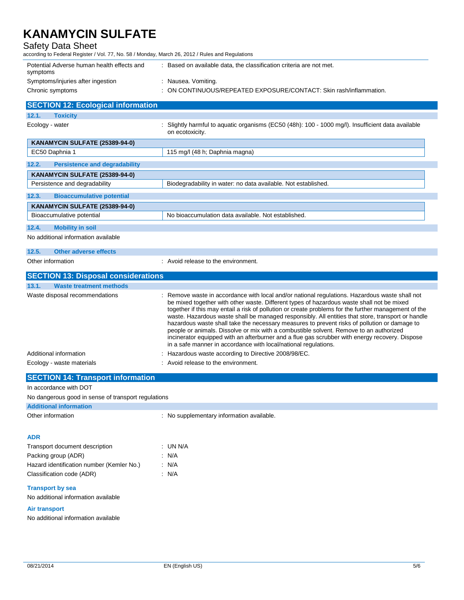Safety Data Sheet

according to Federal Register / Vol. 77, No. 58 / Monday, March 26, 2012 / Rules and Regulations

| Potential Adverse human health effects and<br>symptoms | Based on available data, the classification criteria are not met.  |
|--------------------------------------------------------|--------------------------------------------------------------------|
| Symptoms/injuries after ingestion                      | Nausea. Vomiting.                                                  |
| Chronic symptoms                                       | : ON CONTINUOUS/REPEATED EXPOSURE/CONTACT: Skin rash/inflammation. |

| <b>SECTION 12: Ecological information</b>     |                                                                                                                                                                                                                                                                                                                                                                                                                                                                                                                                                                                                                                                                                                      |
|-----------------------------------------------|------------------------------------------------------------------------------------------------------------------------------------------------------------------------------------------------------------------------------------------------------------------------------------------------------------------------------------------------------------------------------------------------------------------------------------------------------------------------------------------------------------------------------------------------------------------------------------------------------------------------------------------------------------------------------------------------------|
| <b>Toxicity</b><br>12.1.                      |                                                                                                                                                                                                                                                                                                                                                                                                                                                                                                                                                                                                                                                                                                      |
| Ecology - water                               | Slightly harmful to aquatic organisms (EC50 (48h): 100 - 1000 mg/l). Insufficient data available<br>on ecotoxicity.                                                                                                                                                                                                                                                                                                                                                                                                                                                                                                                                                                                  |
| KANAMYCIN SULFATE (25389-94-0)                |                                                                                                                                                                                                                                                                                                                                                                                                                                                                                                                                                                                                                                                                                                      |
| EC50 Daphnia 1                                | 115 mg/l (48 h; Daphnia magna)                                                                                                                                                                                                                                                                                                                                                                                                                                                                                                                                                                                                                                                                       |
| 12.2.<br><b>Persistence and degradability</b> |                                                                                                                                                                                                                                                                                                                                                                                                                                                                                                                                                                                                                                                                                                      |
| KANAMYCIN SULFATE (25389-94-0)                |                                                                                                                                                                                                                                                                                                                                                                                                                                                                                                                                                                                                                                                                                                      |
| Persistence and degradability                 | Biodegradability in water: no data available. Not established.                                                                                                                                                                                                                                                                                                                                                                                                                                                                                                                                                                                                                                       |
| 12.3.<br><b>Bioaccumulative potential</b>     |                                                                                                                                                                                                                                                                                                                                                                                                                                                                                                                                                                                                                                                                                                      |
| KANAMYCIN SULFATE (25389-94-0)                |                                                                                                                                                                                                                                                                                                                                                                                                                                                                                                                                                                                                                                                                                                      |
| Bioaccumulative potential                     | No bioaccumulation data available. Not established.                                                                                                                                                                                                                                                                                                                                                                                                                                                                                                                                                                                                                                                  |
| 12.4.<br><b>Mobility in soil</b>              |                                                                                                                                                                                                                                                                                                                                                                                                                                                                                                                                                                                                                                                                                                      |
| No additional information available           |                                                                                                                                                                                                                                                                                                                                                                                                                                                                                                                                                                                                                                                                                                      |
| 12.5.<br><b>Other adverse effects</b>         |                                                                                                                                                                                                                                                                                                                                                                                                                                                                                                                                                                                                                                                                                                      |
| Other information                             | : Avoid release to the environment.                                                                                                                                                                                                                                                                                                                                                                                                                                                                                                                                                                                                                                                                  |
| <b>SECTION 13: Disposal considerations</b>    |                                                                                                                                                                                                                                                                                                                                                                                                                                                                                                                                                                                                                                                                                                      |
| 13.1.<br><b>Waste treatment methods</b>       |                                                                                                                                                                                                                                                                                                                                                                                                                                                                                                                                                                                                                                                                                                      |
| Waste disposal recommendations                | : Remove waste in accordance with local and/or national regulations. Hazardous waste shall not<br>be mixed together with other waste. Different types of hazardous waste shall not be mixed<br>together if this may entail a risk of pollution or create problems for the further management of the<br>waste. Hazardous waste shall be managed responsibly. All entities that store, transport or handle<br>hazardous waste shall take the necessary measures to prevent risks of pollution or damage to<br>people or animals. Dissolve or mix with a combustible solvent. Remove to an authorized<br>incinerator equipped with an afterburner and a flue gas scrubber with energy recovery. Dispose |

|                        | in a safe manner in accordance with local/national regulations. |
|------------------------|-----------------------------------------------------------------|
| Additional information | : Hazardous waste according to Directive 2008/98/EC.            |
| Feelem: weete metamole | . Arraid salagga ta tha ann deangailt                           |

| Ecology - waste materials | : Avoid release to the environment. |
|---------------------------|-------------------------------------|
|                           |                                     |

| <b>SECTION 14: Transport information</b>                                                                                                                                                                                          |  |  |
|-----------------------------------------------------------------------------------------------------------------------------------------------------------------------------------------------------------------------------------|--|--|
| In accordance with DOT                                                                                                                                                                                                            |  |  |
| $\mathbf{r}$ , and the contract of the contract of the contract of the contract of the contract of the contract of the contract of the contract of the contract of the contract of the contract of the contract of the contract o |  |  |

No dangerous good in sense of transport regulations

# **Additional information**

Other information **contract in the contract of the Contract Contract Contract Contract Contract Contract Contract Contract Contract Contract Contract Contract Contract Contract Contract Contract Contract Contract Contract** 

## **ADR**

| $:$ UN N/A |
|------------|
| : N/A      |
| : N/A      |
| : N/A      |
|            |

## **Transport by sea**

No additional information available

## **Air transport**

No additional information available